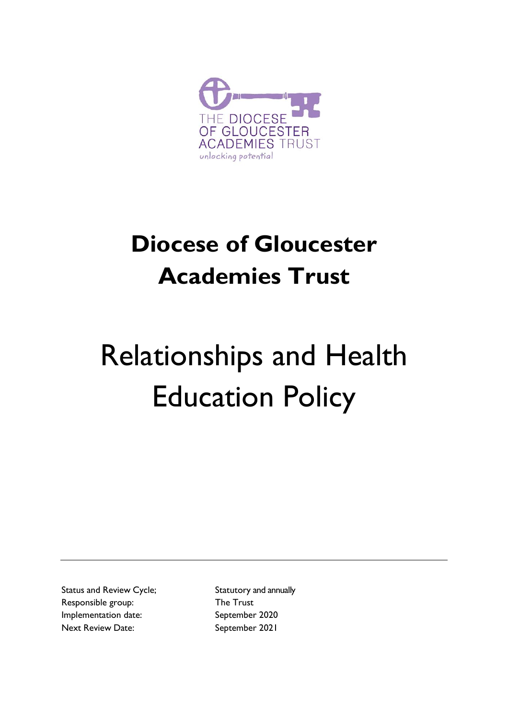

## **Diocese of Gloucester Academies Trust**

# Relationships and Health Education Policy

Status and Review Cycle; Statutory and annually Responsible group: The Trust Implementation date: September 2020 Next Review Date: September 2021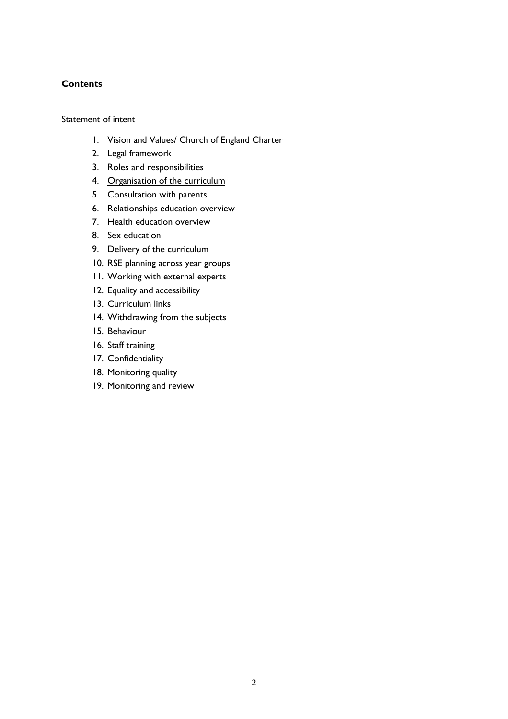#### **Contents**

Statement of intent

- 1. Vision and Values/ Church of England Charter
- 2. Legal framework
- 3. Roles and responsibilities
- 4. Organisation of the curriculum
- 5. Consultation with parents
- 6. Relationships education overview
- 7. Health education overview
- 8. Sex education
- 9. Delivery of the curriculum
- 10. RSE planning across year groups
- 11. Working with external experts
- 12. Equality and accessibility
- 13. Curriculum links
- 14. Withdrawing from the subjects
- 15. Behaviour
- 16. Staff training
- 17. Confidentiality
- 18. Monitoring quality
- 19. Monitoring and review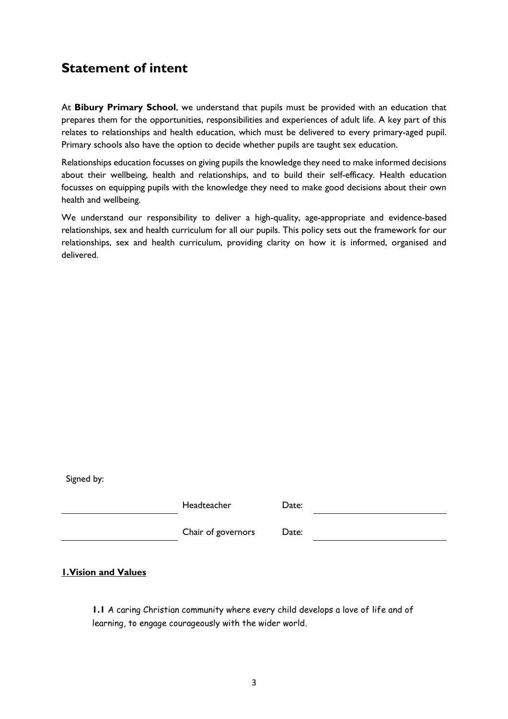## **Statement of intent**

At **Bibury Primary School**, we understand that pupils must be provided with an education that prepares them for the opportunities, responsibilities and experiences of adult life. A key part of this relates to relationships and health education, which must be delivered to every primary-aged pupil. Primary schools also have the option to decide whether pupils are taught sex education.

Relationships education focusses on giving pupils the knowledge they need to make informed decisions about their wellbeing, health and relationships, and to build their self-efficacy. Health education focusses on equipping pupils with the knowledge they need to make good decisions about their own health and wellbeing.

We understand our responsibility to deliver a high-quality, age-appropriate and evidence-based relationships, sex and health curriculum for all our pupils. This policy sets out the framework for our relationships, sex and health curriculum, providing clarity on how it is informed, organised and delivered.

Signed by:

Headteacher Date:

Chair of governors Date:

**1.Vision and Values**

**1.1** A caring Christian community where every child develops a love of life and of learning, to engage courageously with the wider world.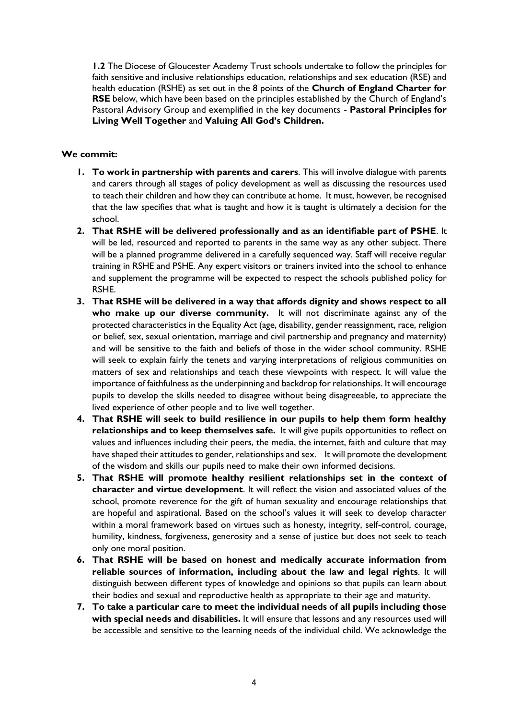**1.2** The Diocese of Gloucester Academy Trust schools undertake to follow the principles for faith sensitive and inclusive relationships education, relationships and sex education (RSE) and health education (RSHE) as set out in the 8 points of the **Church of England Charter for RSE** below, which have been based on the principles established by the Church of England's Pastoral Advisory Group and exemplified in the key documents - **Pastoral Principles for Living Well Together** and **Valuing All God's Children.**

#### **We commit:**

- **1. To work in partnership with parents and carers**. This will involve dialogue with parents and carers through all stages of policy development as well as discussing the resources used to teach their children and how they can contribute at home. It must, however, be recognised that the law specifies that what is taught and how it is taught is ultimately a decision for the school.
- **2. That RSHE will be delivered professionally and as an identifiable part of PSHE**. It will be led, resourced and reported to parents in the same way as any other subject. There will be a planned programme delivered in a carefully sequenced way. Staff will receive regular training in RSHE and PSHE. Any expert visitors or trainers invited into the school to enhance and supplement the programme will be expected to respect the schools published policy for RSHE.
- **3. That RSHE will be delivered in a way that affords dignity and shows respect to all who make up our diverse community.** It will not discriminate against any of the protected characteristics in the Equality Act (age, disability, gender reassignment, race, religion or belief, sex, sexual orientation, marriage and civil partnership and pregnancy and maternity) and will be sensitive to the faith and beliefs of those in the wider school community. RSHE will seek to explain fairly the tenets and varying interpretations of religious communities on matters of sex and relationships and teach these viewpoints with respect. It will value the importance of faithfulness as the underpinning and backdrop for relationships. It will encourage pupils to develop the skills needed to disagree without being disagreeable, to appreciate the lived experience of other people and to live well together.
- **4. That RSHE will seek to build resilience in our pupils to help them form healthy relationships and to keep themselves safe.** It will give pupils opportunities to reflect on values and influences including their peers, the media, the internet, faith and culture that may have shaped their attitudes to gender, relationships and sex. It will promote the development of the wisdom and skills our pupils need to make their own informed decisions.
- **5. That RSHE will promote healthy resilient relationships set in the context of character and virtue development**. It will reflect the vision and associated values of the school, promote reverence for the gift of human sexuality and encourage relationships that are hopeful and aspirational. Based on the school's values it will seek to develop character within a moral framework based on virtues such as honesty, integrity, self-control, courage, humility, kindness, forgiveness, generosity and a sense of justice but does not seek to teach only one moral position.
- **6. That RSHE will be based on honest and medically accurate information from reliable sources of information, including about the law and legal rights**. It will distinguish between different types of knowledge and opinions so that pupils can learn about their bodies and sexual and reproductive health as appropriate to their age and maturity.
- **7. To take a particular care to meet the individual needs of all pupils including those with special needs and disabilities.** It will ensure that lessons and any resources used will be accessible and sensitive to the learning needs of the individual child. We acknowledge the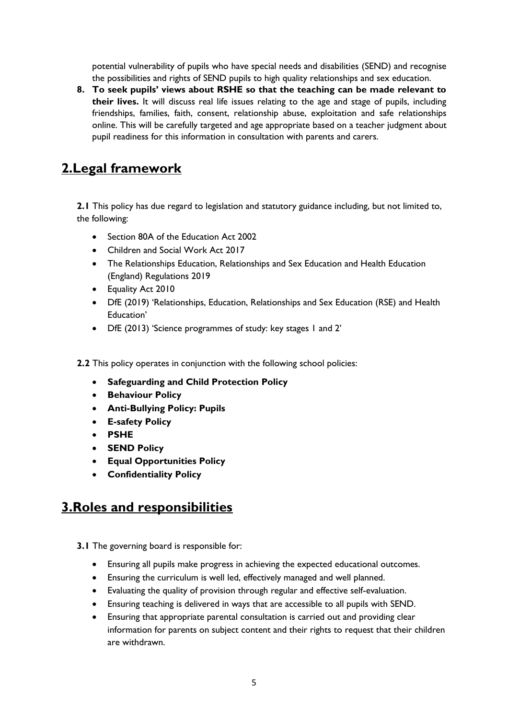potential vulnerability of pupils who have special needs and disabilities (SEND) and recognise the possibilities and rights of SEND pupils to high quality relationships and sex education.

**8. To seek pupils' views about RSHE so that the teaching can be made relevant to their lives.** It will discuss real life issues relating to the age and stage of pupils, including friendships, families, faith, consent, relationship abuse, exploitation and safe relationships online. This will be carefully targeted and age appropriate based on a teacher judgment about pupil readiness for this information in consultation with parents and carers.

## **2.Legal framework**

**2.1** This policy has due regard to legislation and statutory guidance including, but not limited to, the following:

- Section 80A of the Education Act 2002
- Children and Social Work Act 2017
- The Relationships Education, Relationships and Sex Education and Health Education (England) Regulations 2019
- Equality Act 2010
- DfE (2019) 'Relationships, Education, Relationships and Sex Education (RSE) and Health Education'
- DfE (2013) 'Science programmes of study: key stages 1 and 2'
- **2.2** This policy operates in conjunction with the following school policies:
	- **Safeguarding and Child Protection Policy**
	- **Behaviour Policy**
	- **Anti-Bullying Policy: Pupils**
	- **E-safety Policy**
	- **PSHE**
	- **SEND Policy**
	- **Equal Opportunities Policy**
	- **Confidentiality Policy**

## **3.Roles and responsibilities**

- **3.1** The governing board is responsible for:
	- Ensuring all pupils make progress in achieving the expected educational outcomes.
	- Ensuring the curriculum is well led, effectively managed and well planned.
	- Evaluating the quality of provision through regular and effective self-evaluation.
	- Ensuring teaching is delivered in ways that are accessible to all pupils with SEND.
	- Ensuring that appropriate parental consultation is carried out and providing clear information for parents on subject content and their rights to request that their children are withdrawn.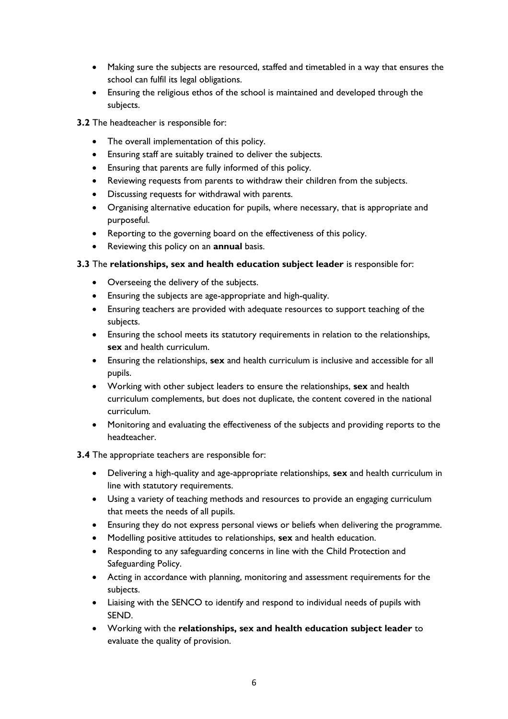- Making sure the subjects are resourced, staffed and timetabled in a way that ensures the school can fulfil its legal obligations.
- Ensuring the religious ethos of the school is maintained and developed through the subjects.
- **3.2** The headteacher is responsible for:
	- The overall implementation of this policy.
	- Ensuring staff are suitably trained to deliver the subjects.
	- Ensuring that parents are fully informed of this policy.
	- Reviewing requests from parents to withdraw their children from the subjects.
	- Discussing requests for withdrawal with parents.
	- Organising alternative education for pupils, where necessary, that is appropriate and purposeful.
	- Reporting to the governing board on the effectiveness of this policy.
	- Reviewing this policy on an **annual** basis.

#### **3.3** The **relationships, sex and health education subject leader** is responsible for:

- Overseeing the delivery of the subjects.
- Ensuring the subjects are age-appropriate and high-quality.
- Ensuring teachers are provided with adequate resources to support teaching of the subjects.
- Ensuring the school meets its statutory requirements in relation to the relationships, **sex** and health curriculum.
- Ensuring the relationships, **sex** and health curriculum is inclusive and accessible for all pupils.
- Working with other subject leaders to ensure the relationships, **sex** and health curriculum complements, but does not duplicate, the content covered in the national curriculum.
- Monitoring and evaluating the effectiveness of the subjects and providing reports to the headteacher.

#### **3.4** The appropriate teachers are responsible for:

- Delivering a high-quality and age-appropriate relationships, **sex** and health curriculum in line with statutory requirements.
- Using a variety of teaching methods and resources to provide an engaging curriculum that meets the needs of all pupils.
- Ensuring they do not express personal views or beliefs when delivering the programme.
- Modelling positive attitudes to relationships, **sex** and health education.
- Responding to any safeguarding concerns in line with the Child Protection and Safeguarding Policy.
- Acting in accordance with planning, monitoring and assessment requirements for the subjects.
- Liaising with the SENCO to identify and respond to individual needs of pupils with SEND.
- Working with the **relationships, sex and health education subject leader** to evaluate the quality of provision.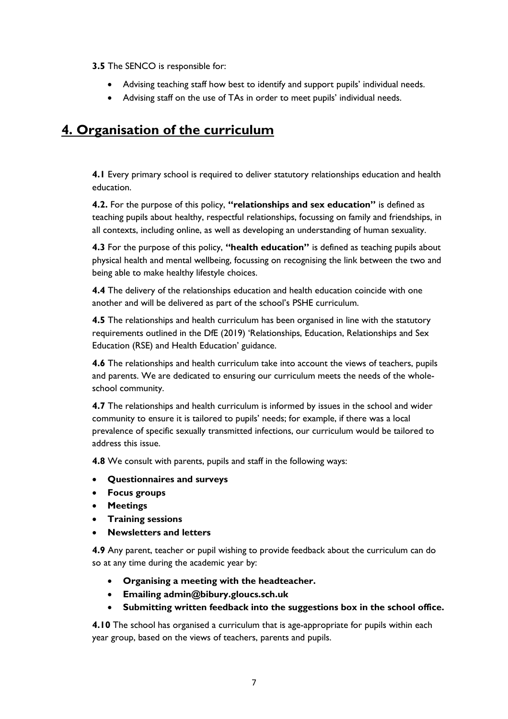**3.5** The SENCO is responsible for:

- Advising teaching staff how best to identify and support pupils' individual needs.
- Advising staff on the use of TAs in order to meet pupils' individual needs.

## **4. Organisation of the curriculum**

**4.1** Every primary school is required to deliver statutory relationships education and health education.

**4.2.** For the purpose of this policy, **"relationships and sex education"** is defined as teaching pupils about healthy, respectful relationships, focussing on family and friendships, in all contexts, including online, as well as developing an understanding of human sexuality.

**4.3** For the purpose of this policy, **"health education"** is defined as teaching pupils about physical health and mental wellbeing, focussing on recognising the link between the two and being able to make healthy lifestyle choices.

**4.4** The delivery of the relationships education and health education coincide with one another and will be delivered as part of the school's PSHE curriculum.

**4.5** The relationships and health curriculum has been organised in line with the statutory requirements outlined in the DfE (2019) 'Relationships, Education, Relationships and Sex Education (RSE) and Health Education' guidance.

**4.6** The relationships and health curriculum take into account the views of teachers, pupils and parents. We are dedicated to ensuring our curriculum meets the needs of the wholeschool community.

**4.7** The relationships and health curriculum is informed by issues in the school and wider community to ensure it is tailored to pupils' needs; for example, if there was a local prevalence of specific sexually transmitted infections, our curriculum would be tailored to address this issue.

**4.8** We consult with parents, pupils and staff in the following ways:

- **Questionnaires and surveys**
- **Focus groups**
- **Meetings**
- **Training sessions**
- **Newsletters and letters**

**4.9** Any parent, teacher or pupil wishing to provide feedback about the curriculum can do so at any time during the academic year by:

- **Organising a meeting with the headteacher.**
- **Emailing admin@bibury.gloucs.sch.uk**
- **Submitting written feedback into the suggestions box in the school office.**

**4.10** The school has organised a curriculum that is age-appropriate for pupils within each year group, based on the views of teachers, parents and pupils.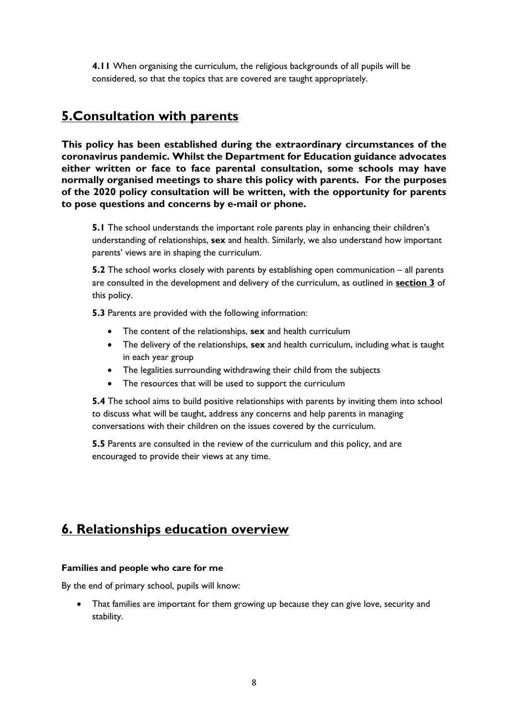**4.11** When organising the curriculum, the religious backgrounds of all pupils will be considered, so that the topics that are covered are taught appropriately.

## <span id="page-7-0"></span>**5.Consultation with parents**

**This policy has been established during the extraordinary circumstances of the coronavirus pandemic. Whilst the Department for Education guidance advocates either written or face to face parental consultation, some schools may have normally organised meetings to share this policy with parents. For the purposes of the 2020 policy consultation will be written, with the opportunity for parents to pose questions and concerns by e-mail or phone.** 

**5.1** The school understands the important role parents play in enhancing their children's understanding of relationships, **sex** and health. Similarly, we also understand how important parents' views are in shaping the curriculum.

**5.2** The school works closely with parents by establishing open communication – all parents are consulted in the development and delivery of the curriculum, as outlined in **section 3** of this policy.

**5.3** Parents are provided with the following information:

- The content of the relationships, **sex** and health curriculum
- The delivery of the relationships, **sex** and health curriculum, including what is taught in each year group
- The legalities surrounding withdrawing their child from the subjects
- The resources that will be used to support the curriculum

**5.4** The school aims to build positive relationships with parents by inviting them into school to discuss what will be taught, address any concerns and help parents in managing conversations with their children on the issues covered by the curriculum.

**5.5** Parents are consulted in the review of the curriculum and this policy, and are encouraged to provide their views at any time.

## **6. Relationships education overview**

#### **Families and people who care for me**

By the end of primary school, pupils will know:

 That families are important for them growing up because they can give love, security and stability.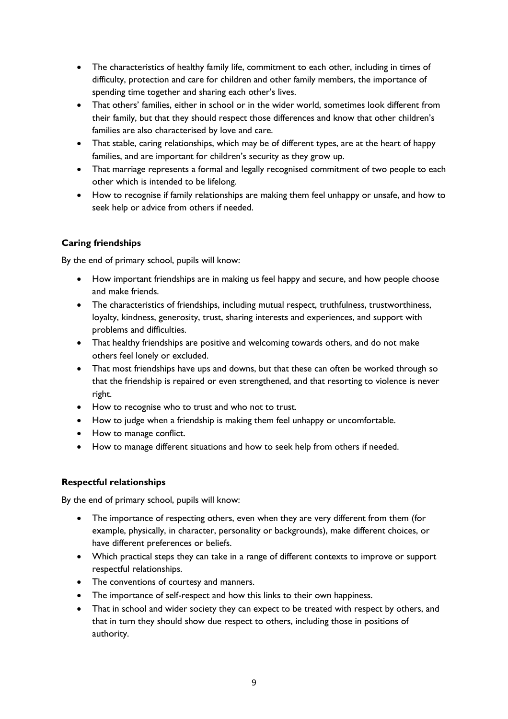- The characteristics of healthy family life, commitment to each other, including in times of difficulty, protection and care for children and other family members, the importance of spending time together and sharing each other's lives.
- That others' families, either in school or in the wider world, sometimes look different from their family, but that they should respect those differences and know that other children's families are also characterised by love and care.
- That stable, caring relationships, which may be of different types, are at the heart of happy families, and are important for children's security as they grow up.
- That marriage represents a formal and legally recognised commitment of two people to each other which is intended to be lifelong.
- How to recognise if family relationships are making them feel unhappy or unsafe, and how to seek help or advice from others if needed.

#### **Caring friendships**

By the end of primary school, pupils will know:

- How important friendships are in making us feel happy and secure, and how people choose and make friends.
- The characteristics of friendships, including mutual respect, truthfulness, trustworthiness, loyalty, kindness, generosity, trust, sharing interests and experiences, and support with problems and difficulties.
- That healthy friendships are positive and welcoming towards others, and do not make others feel lonely or excluded.
- That most friendships have ups and downs, but that these can often be worked through so that the friendship is repaired or even strengthened, and that resorting to violence is never right.
- How to recognise who to trust and who not to trust.
- How to judge when a friendship is making them feel unhappy or uncomfortable.
- How to manage conflict.
- How to manage different situations and how to seek help from others if needed.

#### **Respectful relationships**

By the end of primary school, pupils will know:

- The importance of respecting others, even when they are very different from them (for example, physically, in character, personality or backgrounds), make different choices, or have different preferences or beliefs.
- Which practical steps they can take in a range of different contexts to improve or support respectful relationships.
- The conventions of courtesy and manners.
- The importance of self-respect and how this links to their own happiness.
- That in school and wider society they can expect to be treated with respect by others, and that in turn they should show due respect to others, including those in positions of authority.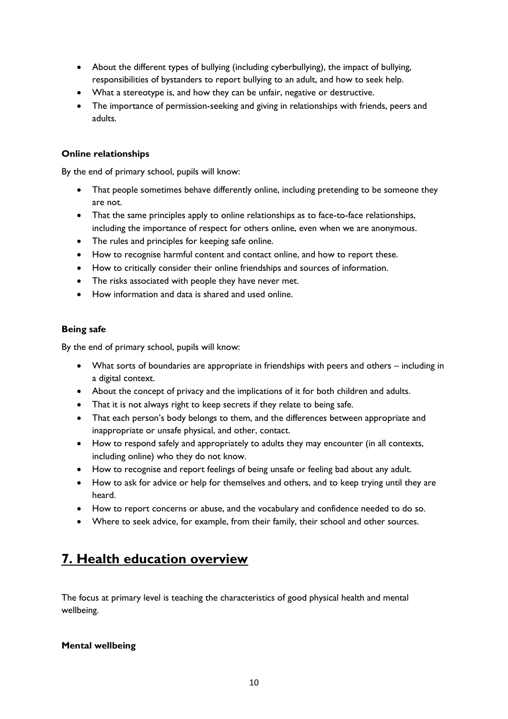- About the different types of bullying (including cyberbullying), the impact of bullying, responsibilities of bystanders to report bullying to an adult, and how to seek help.
- What a stereotype is, and how they can be unfair, negative or destructive.
- The importance of permission-seeking and giving in relationships with friends, peers and adults.

#### **Online relationships**

By the end of primary school, pupils will know:

- That people sometimes behave differently online, including pretending to be someone they are not.
- That the same principles apply to online relationships as to face-to-face relationships, including the importance of respect for others online, even when we are anonymous.
- The rules and principles for keeping safe online.
- How to recognise harmful content and contact online, and how to report these.
- How to critically consider their online friendships and sources of information.
- The risks associated with people they have never met.
- How information and data is shared and used online.

#### **Being safe**

By the end of primary school, pupils will know:

- What sorts of boundaries are appropriate in friendships with peers and others including in a digital context.
- About the concept of privacy and the implications of it for both children and adults.
- That it is not always right to keep secrets if they relate to being safe.
- That each person's body belongs to them, and the differences between appropriate and inappropriate or unsafe physical, and other, contact.
- How to respond safely and appropriately to adults they may encounter (in all contexts, including online) who they do not know.
- How to recognise and report feelings of being unsafe or feeling bad about any adult.
- How to ask for advice or help for themselves and others, and to keep trying until they are heard.
- How to report concerns or abuse, and the vocabulary and confidence needed to do so.
- Where to seek advice, for example, from their family, their school and other sources.

## **7. Health education overview**

The focus at primary level is teaching the characteristics of good physical health and mental wellbeing.

#### **Mental wellbeing**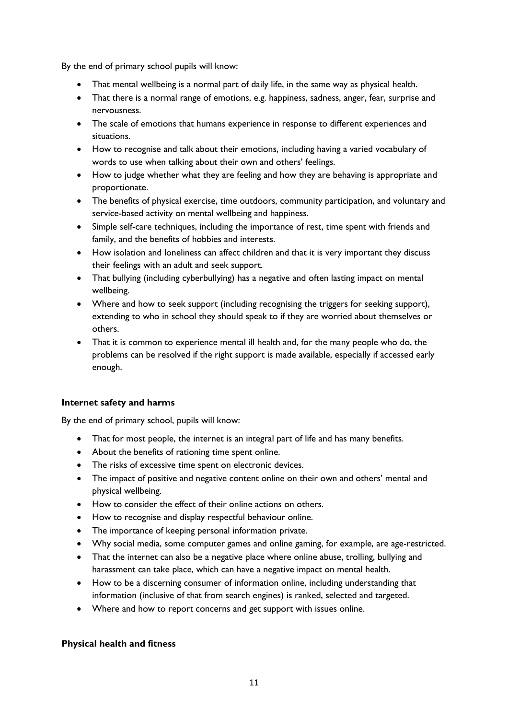By the end of primary school pupils will know:

- That mental wellbeing is a normal part of daily life, in the same way as physical health.
- That there is a normal range of emotions, e.g. happiness, sadness, anger, fear, surprise and nervousness.
- The scale of emotions that humans experience in response to different experiences and situations.
- How to recognise and talk about their emotions, including having a varied vocabulary of words to use when talking about their own and others' feelings.
- How to judge whether what they are feeling and how they are behaving is appropriate and proportionate.
- The benefits of physical exercise, time outdoors, community participation, and voluntary and service-based activity on mental wellbeing and happiness.
- Simple self-care techniques, including the importance of rest, time spent with friends and family, and the benefits of hobbies and interests.
- How isolation and loneliness can affect children and that it is very important they discuss their feelings with an adult and seek support.
- That bullying (including cyberbullying) has a negative and often lasting impact on mental wellbeing.
- Where and how to seek support (including recognising the triggers for seeking support), extending to who in school they should speak to if they are worried about themselves or others.
- That it is common to experience mental ill health and, for the many people who do, the problems can be resolved if the right support is made available, especially if accessed early enough.

#### **Internet safety and harms**

By the end of primary school, pupils will know:

- That for most people, the internet is an integral part of life and has many benefits.
- About the benefits of rationing time spent online.
- The risks of excessive time spent on electronic devices.
- The impact of positive and negative content online on their own and others' mental and physical wellbeing.
- How to consider the effect of their online actions on others.
- How to recognise and display respectful behaviour online.
- The importance of keeping personal information private.
- Why social media, some computer games and online gaming, for example, are age-restricted.
- That the internet can also be a negative place where online abuse, trolling, bullying and harassment can take place, which can have a negative impact on mental health.
- How to be a discerning consumer of information online, including understanding that information (inclusive of that from search engines) is ranked, selected and targeted.
- Where and how to report concerns and get support with issues online.

#### **Physical health and fitness**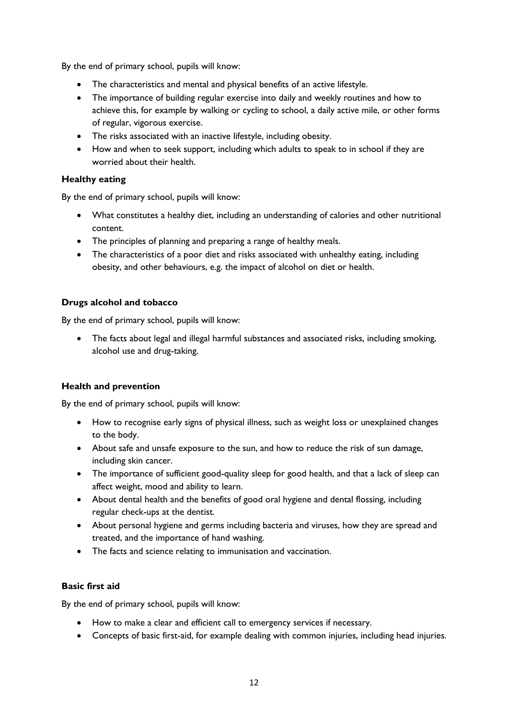By the end of primary school, pupils will know:

- The characteristics and mental and physical benefits of an active lifestyle.
- The importance of building regular exercise into daily and weekly routines and how to achieve this, for example by walking or cycling to school, a daily active mile, or other forms of regular, vigorous exercise.
- The risks associated with an inactive lifestyle, including obesity.
- How and when to seek support, including which adults to speak to in school if they are worried about their health.

#### **Healthy eating**

By the end of primary school, pupils will know:

- What constitutes a healthy diet, including an understanding of calories and other nutritional content.
- The principles of planning and preparing a range of healthy meals.
- The characteristics of a poor diet and risks associated with unhealthy eating, including obesity, and other behaviours, e.g. the impact of alcohol on diet or health.

#### **Drugs alcohol and tobacco**

By the end of primary school, pupils will know:

 The facts about legal and illegal harmful substances and associated risks, including smoking, alcohol use and drug-taking.

#### **Health and prevention**

By the end of primary school, pupils will know:

- How to recognise early signs of physical illness, such as weight loss or unexplained changes to the body.
- About safe and unsafe exposure to the sun, and how to reduce the risk of sun damage, including skin cancer.
- The importance of sufficient good-quality sleep for good health, and that a lack of sleep can affect weight, mood and ability to learn.
- About dental health and the benefits of good oral hygiene and dental flossing, including regular check-ups at the dentist.
- About personal hygiene and germs including bacteria and viruses, how they are spread and treated, and the importance of hand washing.
- The facts and science relating to immunisation and vaccination.

#### **Basic first aid**

By the end of primary school, pupils will know:

- How to make a clear and efficient call to emergency services if necessary.
- Concepts of basic first-aid, for example dealing with common injuries, including head injuries.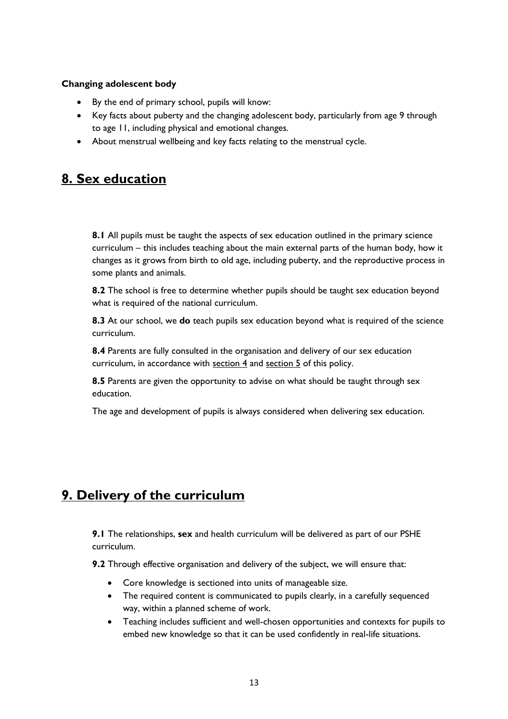#### **Changing adolescent body**

- By the end of primary school, pupils will know:
- Key facts about puberty and the changing adolescent body, particularly from age 9 through to age 11, including physical and emotional changes.
- About menstrual wellbeing and key facts relating to the menstrual cycle.

## **8. Sex education**

**8.1** All pupils must be taught the aspects of sex education outlined in the primary science curriculum – this includes teaching about the main external parts of the human body, how it changes as it grows from birth to old age, including puberty, and the reproductive process in some plants and animals.

**8.2** The school is free to determine whether pupils should be taught sex education beyond what is required of the national curriculum.

**8.3** At our school, we **do** teach pupils sex education beyond what is required of the science curriculum.

**8.4** Parents are fully consulted in the organisation and delivery of our sex education curriculum, in accordance with [section](#page-7-0) 4 and section 5 of this policy.

**8.5** Parents are given the opportunity to advise on what should be taught through sex education.

The age and development of pupils is always considered when delivering sex education.

## **9. Delivery of the curriculum**

**9.1** The relationships, **sex** and health curriculum will be delivered as part of our PSHE curriculum.

**9.2** Through effective organisation and delivery of the subject, we will ensure that:

- Core knowledge is sectioned into units of manageable size.
- The required content is communicated to pupils clearly, in a carefully sequenced way, within a planned scheme of work.
- Teaching includes sufficient and well-chosen opportunities and contexts for pupils to embed new knowledge so that it can be used confidently in real-life situations.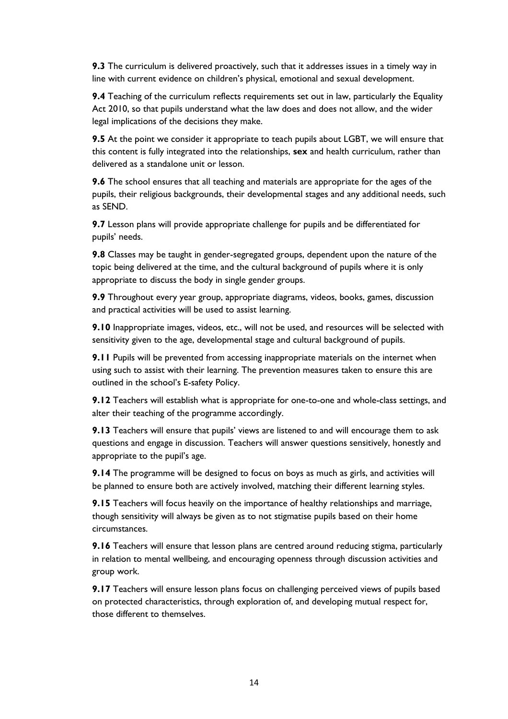**9.3** The curriculum is delivered proactively, such that it addresses issues in a timely way in line with current evidence on children's physical, emotional and sexual development.

**9.4** Teaching of the curriculum reflects requirements set out in law, particularly the Equality Act 2010, so that pupils understand what the law does and does not allow, and the wider legal implications of the decisions they make.

**9.5** At the point we consider it appropriate to teach pupils about LGBT, we will ensure that this content is fully integrated into the relationships, **sex** and health curriculum, rather than delivered as a standalone unit or lesson.

**9.6** The school ensures that all teaching and materials are appropriate for the ages of the pupils, their religious backgrounds, their developmental stages and any additional needs, such as SEND.

**9.7** Lesson plans will provide appropriate challenge for pupils and be differentiated for pupils' needs.

**9.8** Classes may be taught in gender-segregated groups, dependent upon the nature of the topic being delivered at the time, and the cultural background of pupils where it is only appropriate to discuss the body in single gender groups.

**9.9** Throughout every year group, appropriate diagrams, videos, books, games, discussion and practical activities will be used to assist learning.

**9.10** Inappropriate images, videos, etc., will not be used, and resources will be selected with sensitivity given to the age, developmental stage and cultural background of pupils.

**9.11** Pupils will be prevented from accessing inappropriate materials on the internet when using such to assist with their learning. The prevention measures taken to ensure this are outlined in the school's E-safety Policy.

**9.12** Teachers will establish what is appropriate for one-to-one and whole-class settings, and alter their teaching of the programme accordingly.

**9.13** Teachers will ensure that pupils' views are listened to and will encourage them to ask questions and engage in discussion. Teachers will answer questions sensitively, honestly and appropriate to the pupil's age.

**9.14** The programme will be designed to focus on boys as much as girls, and activities will be planned to ensure both are actively involved, matching their different learning styles.

**9.15** Teachers will focus heavily on the importance of healthy relationships and marriage, though sensitivity will always be given as to not stigmatise pupils based on their home circumstances.

**9.16** Teachers will ensure that lesson plans are centred around reducing stigma, particularly in relation to mental wellbeing, and encouraging openness through discussion activities and group work.

**9.17** Teachers will ensure lesson plans focus on challenging perceived views of pupils based on protected characteristics, through exploration of, and developing mutual respect for, those different to themselves.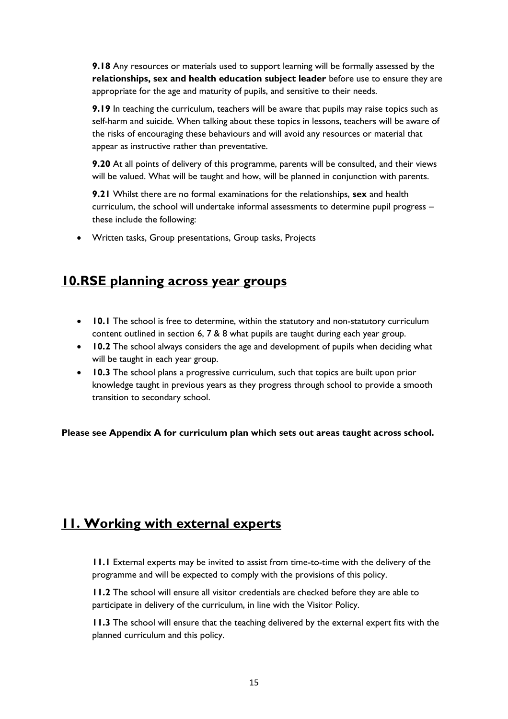**9.18** Any resources or materials used to support learning will be formally assessed by the **relationships, sex and health education subject leader** before use to ensure they are appropriate for the age and maturity of pupils, and sensitive to their needs.

**9.19** In teaching the curriculum, teachers will be aware that pupils may raise topics such as self-harm and suicide. When talking about these topics in lessons, teachers will be aware of the risks of encouraging these behaviours and will avoid any resources or material that appear as instructive rather than preventative.

**9.20** At all points of delivery of this programme, parents will be consulted, and their views will be valued. What will be taught and how, will be planned in conjunction with parents.

**9.21** Whilst there are no formal examinations for the relationships, **sex** and health curriculum, the school will undertake informal assessments to determine pupil progress – these include the following:

Written tasks, Group presentations, Group tasks, Projects

## **10.RSE planning across year groups**

- **10.1** The school is free to determine, within the statutory and non-statutory curriculum content outlined in section 6, 7 & 8 what pupils are taught during each year group.
- **10.2** The school always considers the age and development of pupils when deciding what will be taught in each year group.
- **10.3** The school plans a progressive curriculum, such that topics are built upon prior knowledge taught in previous years as they progress through school to provide a smooth transition to secondary school.

**Please see Appendix A for curriculum plan which sets out areas taught across school.**

## **11. Working with external experts**

**11.1** External experts may be invited to assist from time-to-time with the delivery of the programme and will be expected to comply with the provisions of this policy.

**11.2** The school will ensure all visitor credentials are checked before they are able to participate in delivery of the curriculum, in line with the Visitor Policy.

**11.3** The school will ensure that the teaching delivered by the external expert fits with the planned curriculum and this policy.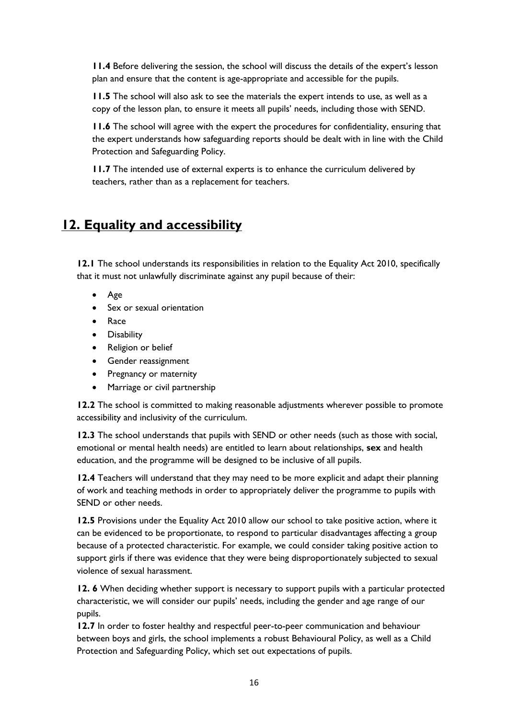**11.4** Before delivering the session, the school will discuss the details of the expert's lesson plan and ensure that the content is age-appropriate and accessible for the pupils.

**11.5** The school will also ask to see the materials the expert intends to use, as well as a copy of the lesson plan, to ensure it meets all pupils' needs, including those with SEND.

**11.6** The school will agree with the expert the procedures for confidentiality, ensuring that the expert understands how safeguarding reports should be dealt with in line with the Child Protection and Safeguarding Policy.

**11.7** The intended use of external experts is to enhance the curriculum delivered by teachers, rather than as a replacement for teachers.

## **12. Equality and accessibility**

**12.1** The school understands its responsibilities in relation to the Equality Act 2010, specifically that it must not unlawfully discriminate against any pupil because of their:

- Age
- Sex or sexual orientation
- Race
- **•** Disability
- Religion or belief
- Gender reassignment
- Pregnancy or maternity
- Marriage or civil partnership

**12.2** The school is committed to making reasonable adjustments wherever possible to promote accessibility and inclusivity of the curriculum.

**12.3** The school understands that pupils with SEND or other needs (such as those with social, emotional or mental health needs) are entitled to learn about relationships, **sex** and health education, and the programme will be designed to be inclusive of all pupils.

**12.4** Teachers will understand that they may need to be more explicit and adapt their planning of work and teaching methods in order to appropriately deliver the programme to pupils with SEND or other needs.

**12.5** Provisions under the Equality Act 2010 allow our school to take positive action, where it can be evidenced to be proportionate, to respond to particular disadvantages affecting a group because of a protected characteristic. For example, we could consider taking positive action to support girls if there was evidence that they were being disproportionately subjected to sexual violence of sexual harassment.

**12. 6** When deciding whether support is necessary to support pupils with a particular protected characteristic, we will consider our pupils' needs, including the gender and age range of our pupils.

**12.7** In order to foster healthy and respectful peer-to-peer communication and behaviour between boys and girls, the school implements a robust Behavioural Policy, as well as a Child Protection and Safeguarding Policy, which set out expectations of pupils.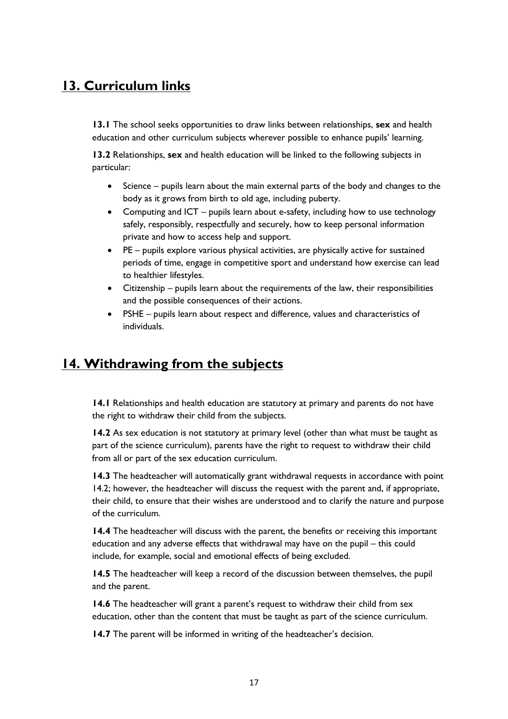## **13. Curriculum links**

**13.1** The school seeks opportunities to draw links between relationships, **sex** and health education and other curriculum subjects wherever possible to enhance pupils' learning.

**13.2** Relationships, **sex** and health education will be linked to the following subjects in particular:

- Science pupils learn about the main external parts of the body and changes to the body as it grows from birth to old age, including puberty.
- Computing and ICT pupils learn about e-safety, including how to use technology safely, responsibly, respectfully and securely, how to keep personal information private and how to access help and support.
- PE pupils explore various physical activities, are physically active for sustained periods of time, engage in competitive sport and understand how exercise can lead to healthier lifestyles.
- Citizenship pupils learn about the requirements of the law, their responsibilities and the possible consequences of their actions.
- PSHE pupils learn about respect and difference, values and characteristics of individuals.

## **14. Withdrawing from the subjects**

**14.1** Relationships and health education are statutory at primary and parents do not have the right to withdraw their child from the subjects.

**14.2** As sex education is not statutory at primary level (other than what must be taught as part of the science curriculum), parents have the right to request to withdraw their child from all or part of the sex education curriculum.

**14.3** The headteacher will automatically grant withdrawal requests in accordance with point 14.2; however, the headteacher will discuss the request with the parent and, if appropriate, their child, to ensure that their wishes are understood and to clarify the nature and purpose of the curriculum.

14.4 The headteacher will discuss with the parent, the benefits or receiving this important education and any adverse effects that withdrawal may have on the pupil – this could include, for example, social and emotional effects of being excluded.

**14.5** The headteacher will keep a record of the discussion between themselves, the pupil and the parent.

**14.6** The headteacher will grant a parent's request to withdraw their child from sex education, other than the content that must be taught as part of the science curriculum.

**14.7** The parent will be informed in writing of the headteacher's decision.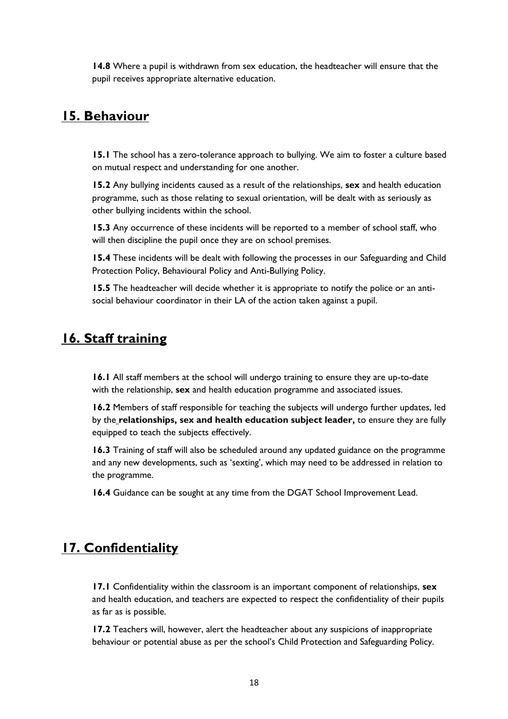**14.8** Where a pupil is withdrawn from sex education, the headteacher will ensure that the pupil receives appropriate alternative education.

## **15. Behaviour**

**15.1** The school has a zero-tolerance approach to bullying. We aim to foster a culture based on mutual respect and understanding for one another.

**15.2** Any bullying incidents caused as a result of the relationships, **sex** and health education programme, such as those relating to sexual orientation, will be dealt with as seriously as other bullying incidents within the school.

**15.3** Any occurrence of these incidents will be reported to a member of school staff, who will then discipline the pupil once they are on school premises.

**15.4** These incidents will be dealt with following the processes in our Safeguarding and Child Protection Policy, Behavioural Policy and Anti-Bullying Policy.

**15.5** The headteacher will decide whether it is appropriate to notify the police or an antisocial behaviour coordinator in their LA of the action taken against a pupil.

## **16. Staff training**

**16.1** All staff members at the school will undergo training to ensure they are up-to-date with the relationship, **sex** and health education programme and associated issues.

**16.2** Members of staff responsible for teaching the subjects will undergo further updates, led by the **relationships, sex and health education subject leader,** to ensure they are fully equipped to teach the subjects effectively.

**16.3** Training of staff will also be scheduled around any updated guidance on the programme and any new developments, such as 'sexting', which may need to be addressed in relation to the programme.

**16.4** Guidance can be sought at any time from the DGAT School Improvement Lead.

## **17. Confidentiality**

**17.1** Confidentiality within the classroom is an important component of relationships, **sex** and health education, and teachers are expected to respect the confidentiality of their pupils as far as is possible.

**17.2** Teachers will, however, alert the headteacher about any suspicions of inappropriate behaviour or potential abuse as per the school's Child Protection and Safeguarding Policy.